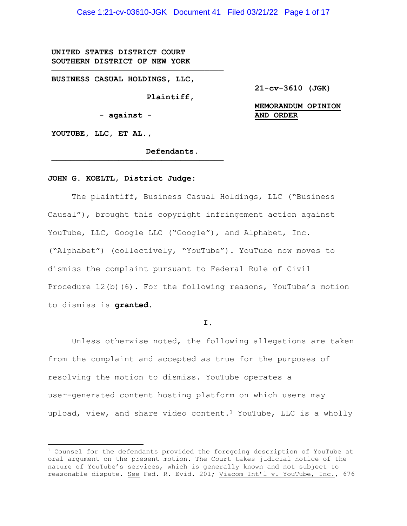Case 1:21-cv-03610-JGK Document 41 Filed 03/21/22 Page 1 of 17

**UNITED STATES DISTRICT COURT SOUTHERN DISTRICT OF NEW YORK** 

**BUSINESS CASUAL HOLDINGS, LLC,** 

 **Plaintiff,** 

 **- against -** 

**────────────────────────────────────**

**────────────────────────────────────**

**21-cv-3610 (JGK)** 

# **MEMORANDUM OPINION AND ORDER**

**YOUTUBE, LLC, ET AL.,** 

 **Defendants.** 

#### **JOHN G. KOELTL, District Judge:**

 The plaintiff, Business Casual Holdings, LLC ("Business Causal"), brought this copyright infringement action against YouTube, LLC, Google LLC ("Google"), and Alphabet, Inc. ("Alphabet") (collectively, "YouTube"). YouTube now moves to dismiss the complaint pursuant to Federal Rule of Civil Procedure 12(b)(6). For the following reasons, YouTube's motion to dismiss is **granted.**

**I.**

 Unless otherwise noted, the following allegations are taken from the complaint and accepted as true for the purposes of resolving the motion to dismiss. YouTube operates a user-generated content hosting platform on which users may upload, view, and share video content.<sup>1</sup> YouTube, LLC is a wholly

 $1$  Counsel for the defendants provided the foregoing description of YouTube at oral argument on the present motion. The Court takes judicial notice of the nature of YouTube's services, which is generally known and not subject to reasonable dispute. See Fed. R. Evid. 201; Viacom Int'l v. YouTube, Inc., 676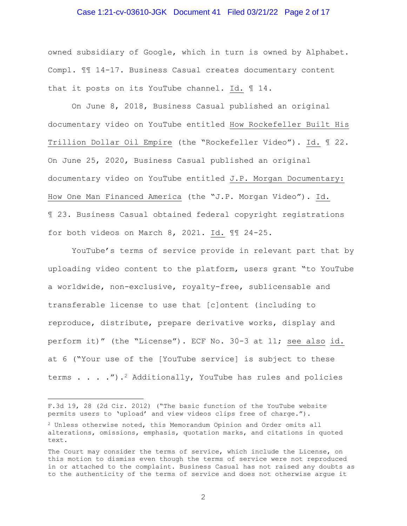#### Case 1:21-cv-03610-JGK Document 41 Filed 03/21/22 Page 2 of 17

owned subsidiary of Google, which in turn is owned by Alphabet. Compl. ¶¶ 14-17. Business Casual creates documentary content that it posts on its YouTube channel. Id. ¶ 14.

 On June 8, 2018, Business Casual published an original documentary video on YouTube entitled How Rockefeller Built His Trillion Dollar Oil Empire (the "Rockefeller Video"). Id. ¶ 22. On June 25, 2020, Business Casual published an original documentary video on YouTube entitled J.P. Morgan Documentary: How One Man Financed America (the "J.P. Morgan Video"). Id. ¶ 23. Business Casual obtained federal copyright registrations for both videos on March 8, 2021. Id. ¶¶ 24-25.

 YouTube's terms of service provide in relevant part that by uploading video content to the platform, users grant "to YouTube a worldwide, non-exclusive, royalty-free, sublicensable and transferable license to use that [c]ontent (including to reproduce, distribute, prepare derivative works, display and perform it)" (the "License"). ECF No. 30-3 at 11; see also id. at 6 ("Your use of the [YouTube service] is subject to these terms  $\ldots$  . . . . . . . . . Additionally, YouTube has rules and policies

F.3d 19, 28 (2d Cir. 2012) ("The basic function of the YouTube website permits users to 'upload' and view videos clips free of charge.").

<sup>2</sup> Unless otherwise noted, this Memorandum Opinion and Order omits all alterations, omissions, emphasis, quotation marks, and citations in quoted text.

The Court may consider the terms of service, which include the License, on this motion to dismiss even though the terms of service were not reproduced in or attached to the complaint. Business Casual has not raised any doubts as to the authenticity of the terms of service and does not otherwise argue it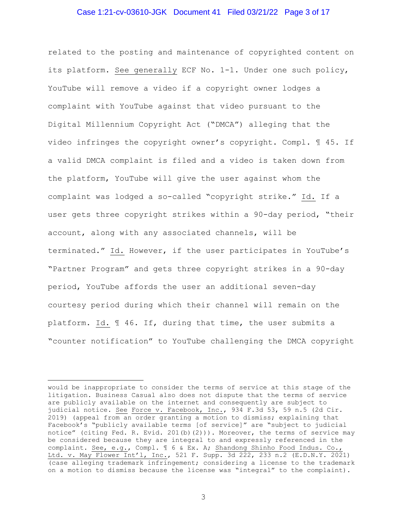#### Case 1:21-cv-03610-JGK Document 41 Filed 03/21/22 Page 3 of 17

related to the posting and maintenance of copyrighted content on its platform. See generally ECF No. 1-1. Under one such policy, YouTube will remove a video if a copyright owner lodges a complaint with YouTube against that video pursuant to the Digital Millennium Copyright Act ("DMCA") alleging that the video infringes the copyright owner's copyright. Compl. ¶ 45. If a valid DMCA complaint is filed and a video is taken down from the platform, YouTube will give the user against whom the complaint was lodged a so-called "copyright strike." Id. If a user gets three copyright strikes within a 90-day period, "their account, along with any associated channels, will be terminated." Id. However, if the user participates in YouTube's "Partner Program" and gets three copyright strikes in a 90-day period, YouTube affords the user an additional seven-day courtesy period during which their channel will remain on the platform. Id. ¶ 46. If, during that time, the user submits a "counter notification" to YouTube challenging the DMCA copyright

would be inappropriate to consider the terms of service at this stage of the litigation. Business Casual also does not dispute that the terms of service are publicly available on the internet and consequently are subject to judicial notice. See Force v. Facebook, Inc., 934 F.3d 53, 59 n.5 (2d Cir. 2019) (appeal from an order granting a motion to dismiss; explaining that Facebook's "publicly available terms [of service]" are "subject to judicial notice" (citing Fed. R. Evid. 201(b)(2))). Moreover, the terms of service may be considered because they are integral to and expressly referenced in the complaint. See, e.g., Compl. ¶ 6 & Ex. A; Shandong Shinho Food Indus. Co., Ltd. v. May Flower Int'l, Inc., 521 F. Supp. 3d 222, 233 n.2 (E.D.N.Y. 2021) (case alleging trademark infringement; considering a license to the trademark on a motion to dismiss because the license was "integral" to the complaint).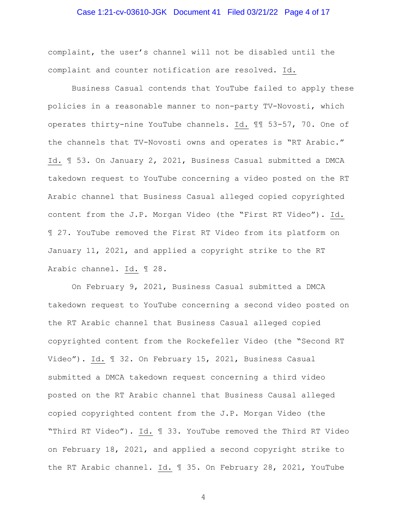## Case 1:21-cv-03610-JGK Document 41 Filed 03/21/22 Page 4 of 17

complaint, the user's channel will not be disabled until the complaint and counter notification are resolved. Id.

 Business Casual contends that YouTube failed to apply these policies in a reasonable manner to non-party TV-Novosti, which operates thirty-nine YouTube channels. Id. ¶¶ 53-57, 70. One of the channels that TV-Novosti owns and operates is "RT Arabic." Id. ¶ 53. On January 2, 2021, Business Casual submitted a DMCA takedown request to YouTube concerning a video posted on the RT Arabic channel that Business Casual alleged copied copyrighted content from the J.P. Morgan Video (the "First RT Video"). Id. ¶ 27. YouTube removed the First RT Video from its platform on January 11, 2021, and applied a copyright strike to the RT Arabic channel. Id. ¶ 28.

 On February 9, 2021, Business Casual submitted a DMCA takedown request to YouTube concerning a second video posted on the RT Arabic channel that Business Casual alleged copied copyrighted content from the Rockefeller Video (the "Second RT Video"). Id. ¶ 32. On February 15, 2021, Business Casual submitted a DMCA takedown request concerning a third video posted on the RT Arabic channel that Business Causal alleged copied copyrighted content from the J.P. Morgan Video (the "Third RT Video"). Id. ¶ 33. YouTube removed the Third RT Video on February 18, 2021, and applied a second copyright strike to the RT Arabic channel. Id. ¶ 35. On February 28, 2021, YouTube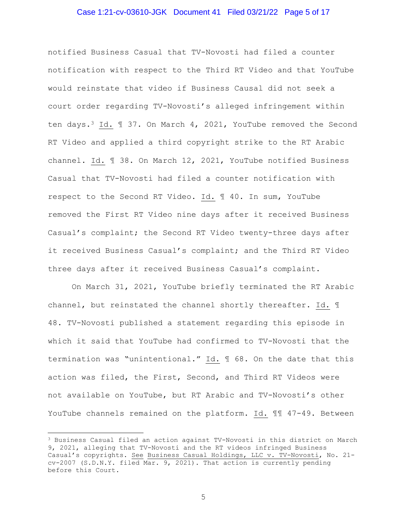#### Case 1:21-cv-03610-JGK Document 41 Filed 03/21/22 Page 5 of 17

notified Business Casual that TV-Novosti had filed a counter notification with respect to the Third RT Video and that YouTube would reinstate that video if Business Causal did not seek a court order regarding TV-Novosti's alleged infringement within ten days.3 Id. ¶ 37. On March 4, 2021, YouTube removed the Second RT Video and applied a third copyright strike to the RT Arabic channel. Id. ¶ 38. On March 12, 2021, YouTube notified Business Casual that TV-Novosti had filed a counter notification with respect to the Second RT Video. Id. ¶ 40. In sum, YouTube removed the First RT Video nine days after it received Business Casual's complaint; the Second RT Video twenty-three days after it received Business Casual's complaint; and the Third RT Video three days after it received Business Casual's complaint.

 On March 31, 2021, YouTube briefly terminated the RT Arabic channel, but reinstated the channel shortly thereafter. Id. ¶ 48. TV-Novosti published a statement regarding this episode in which it said that YouTube had confirmed to TV-Novosti that the termination was "unintentional." Id. ¶ 68. On the date that this action was filed, the First, Second, and Third RT Videos were not available on YouTube, but RT Arabic and TV-Novosti's other YouTube channels remained on the platform. Id. ¶¶ 47-49. Between

<sup>3</sup> Business Casual filed an action against TV-Novosti in this district on March 9, 2021, alleging that TV-Novosti and the RT videos infringed Business Casual's copyrights. See Business Casual Holdings, LLC v. TV-Novosti, No. 21 cv-2007 (S.D.N.Y. filed Mar. 9, 2021). That action is currently pending before this Court.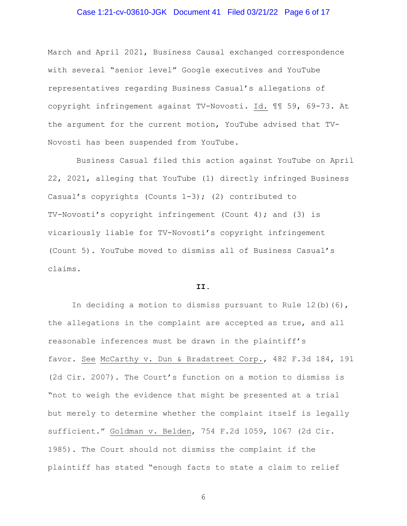## Case 1:21-cv-03610-JGK Document 41 Filed 03/21/22 Page 6 of 17

March and April 2021, Business Causal exchanged correspondence with several "senior level" Google executives and YouTube representatives regarding Business Casual's allegations of copyright infringement against TV-Novosti. Id. ¶¶ 59, 69-73. At the argument for the current motion, YouTube advised that TV-Novosti has been suspended from YouTube.

 Business Casual filed this action against YouTube on April 22, 2021, alleging that YouTube (1) directly infringed Business Casual's copyrights (Counts 1-3); (2) contributed to TV-Novosti's copyright infringement (Count 4); and (3) is vicariously liable for TV-Novosti's copyright infringement (Count 5). YouTube moved to dismiss all of Business Casual's claims.

#### **II.**

In deciding a motion to dismiss pursuant to Rule  $12(b)$  (6), the allegations in the complaint are accepted as true, and all reasonable inferences must be drawn in the plaintiff's favor. See McCarthy v. Dun & Bradstreet Corp., 482 F.3d 184, 191 (2d Cir. 2007). The Court's function on a motion to dismiss is "not to weigh the evidence that might be presented at a trial but merely to determine whether the complaint itself is legally sufficient." Goldman v. Belden, 754 F.2d 1059, 1067 (2d Cir. 1985). The Court should not dismiss the complaint if the plaintiff has stated "enough facts to state a claim to relief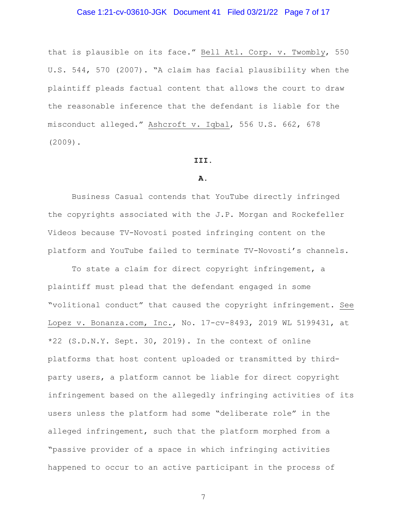## Case 1:21-cv-03610-JGK Document 41 Filed 03/21/22 Page 7 of 17

that is plausible on its face." Bell Atl. Corp. v. Twombly, 550 U.S. 544, 570 (2007). "A claim has facial plausibility when the plaintiff pleads factual content that allows the court to draw the reasonable inference that the defendant is liable for the misconduct alleged." Ashcroft v. Iqbal, 556 U.S. 662, 678 (2009).

#### **III.**

#### **A.**

Business Casual contends that YouTube directly infringed the copyrights associated with the J.P. Morgan and Rockefeller Videos because TV-Novosti posted infringing content on the platform and YouTube failed to terminate TV-Novosti's channels.

 To state a claim for direct copyright infringement, a plaintiff must plead that the defendant engaged in some "volitional conduct" that caused the copyright infringement. See Lopez v. Bonanza.com, Inc., No. 17-cv-8493, 2019 WL 5199431, at \*22 (S.D.N.Y. Sept. 30, 2019). In the context of online platforms that host content uploaded or transmitted by thirdparty users, a platform cannot be liable for direct copyright infringement based on the allegedly infringing activities of its users unless the platform had some "deliberate role" in the alleged infringement, such that the platform morphed from a "passive provider of a space in which infringing activities happened to occur to an active participant in the process of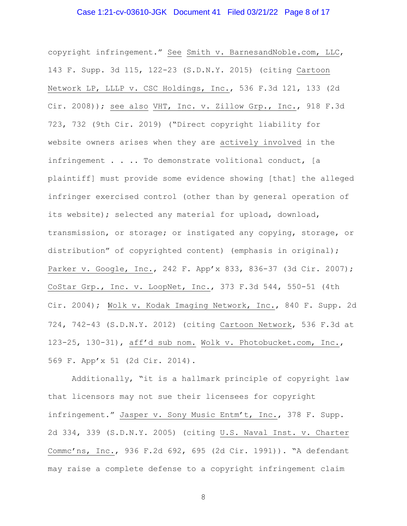## Case 1:21-cv-03610-JGK Document 41 Filed 03/21/22 Page 8 of 17

copyright infringement." See Smith v. BarnesandNoble.com, LLC, 143 F. Supp. 3d 115, 122-23 (S.D.N.Y. 2015) (citing Cartoon Network LP, LLLP v. CSC Holdings, Inc., 536 F.3d 121, 133 (2d Cir. 2008)); see also VHT, Inc. v. Zillow Grp., Inc., 918 F.3d 723, 732 (9th Cir. 2019) ("Direct copyright liability for website owners arises when they are actively involved in the infringement . . . . To demonstrate volitional conduct, [a plaintiff] must provide some evidence showing [that] the alleged infringer exercised control (other than by general operation of its website); selected any material for upload, download, transmission, or storage; or instigated any copying, storage, or distribution" of copyrighted content) (emphasis in original); Parker v. Google, Inc., 242 F. App'x 833, 836-37 (3d Cir. 2007); CoStar Grp., Inc. v. LoopNet, Inc., 373 F.3d 544, 550-51 (4th Cir. 2004); Wolk v. Kodak Imaging Network, Inc., 840 F. Supp. 2d 724, 742-43 (S.D.N.Y. 2012) (citing Cartoon Network, 536 F.3d at 123-25, 130-31), aff'd sub nom. Wolk v. Photobucket.com, Inc., 569 F. App'x 51 (2d Cir. 2014).

 Additionally, "it is a hallmark principle of copyright law that licensors may not sue their licensees for copyright infringement." Jasper v. Sony Music Entm't, Inc., 378 F. Supp. 2d 334, 339 (S.D.N.Y. 2005) (citing U.S. Naval Inst. v. Charter Commc'ns, Inc., 936 F.2d 692, 695 (2d Cir. 1991)). "A defendant may raise a complete defense to a copyright infringement claim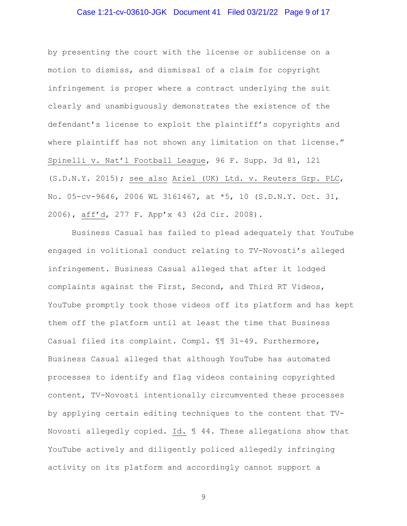## Case 1:21-cv-03610-JGK Document 41 Filed 03/21/22 Page 9 of 17

by presenting the court with the license or sublicense on a motion to dismiss, and dismissal of a claim for copyright infringement is proper where a contract underlying the suit clearly and unambiguously demonstrates the existence of the defendant's license to exploit the plaintiff's copyrights and where plaintiff has not shown any limitation on that license." Spinelli v. Nat'l Football League, 96 F. Supp. 3d 81, 121 (S.D.N.Y. 2015); see also Ariel (UK) Ltd. v. Reuters Grp. PLC, No. 05-cv-9646, 2006 WL 3161467, at \*5, 10 (S.D.N.Y. Oct. 31, 2006), aff'd, 277 F. App'x 43 (2d Cir. 2008).

 Business Casual has failed to plead adequately that YouTube engaged in volitional conduct relating to TV-Novosti's alleged infringement. Business Casual alleged that after it lodged complaints against the First, Second, and Third RT Videos, YouTube promptly took those videos off its platform and has kept them off the platform until at least the time that Business Casual filed its complaint. Compl. ¶¶ 31-49. Furthermore, Business Casual alleged that although YouTube has automated processes to identify and flag videos containing copyrighted content, TV-Novosti intentionally circumvented these processes by applying certain editing techniques to the content that TV-Novosti allegedly copied. Id. ¶ 44. These allegations show that YouTube actively and diligently policed allegedly infringing activity on its platform and accordingly cannot support a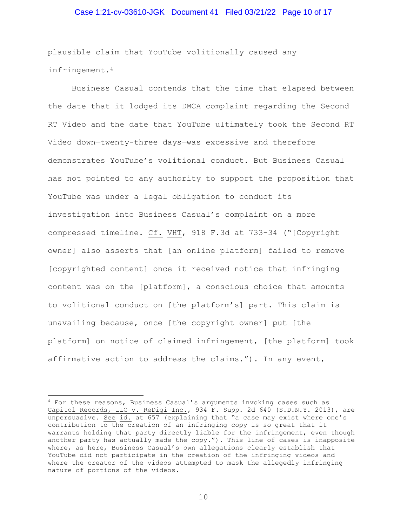#### Case 1:21-cv-03610-JGK Document 41 Filed 03/21/22 Page 10 of 17

plausible claim that YouTube volitionally caused any infringement.4

 Business Casual contends that the time that elapsed between the date that it lodged its DMCA complaint regarding the Second RT Video and the date that YouTube ultimately took the Second RT Video down—twenty-three days—was excessive and therefore demonstrates YouTube's volitional conduct. But Business Casual has not pointed to any authority to support the proposition that YouTube was under a legal obligation to conduct its investigation into Business Casual's complaint on a more compressed timeline. Cf. VHT, 918 F.3d at 733-34 ("[Copyright owner] also asserts that [an online platform] failed to remove [copyrighted content] once it received notice that infringing content was on the [platform], a conscious choice that amounts to volitional conduct on [the platform's] part. This claim is unavailing because, once [the copyright owner] put [the platform] on notice of claimed infringement, [the platform] took affirmative action to address the claims."). In any event,

<sup>4</sup> For these reasons, Business Casual's arguments invoking cases such as Capitol Records, LLC v. ReDigi Inc., 934 F. Supp. 2d 640 (S.D.N.Y. 2013), are unpersuasive. See id. at 657 (explaining that "a case may exist where one's contribution to the creation of an infringing copy is so great that it warrants holding that party directly liable for the infringement, even though another party has actually made the copy."). This line of cases is inapposite where, as here, Business Casual's own allegations clearly establish that YouTube did not participate in the creation of the infringing videos and where the creator of the videos attempted to mask the allegedly infringing nature of portions of the videos.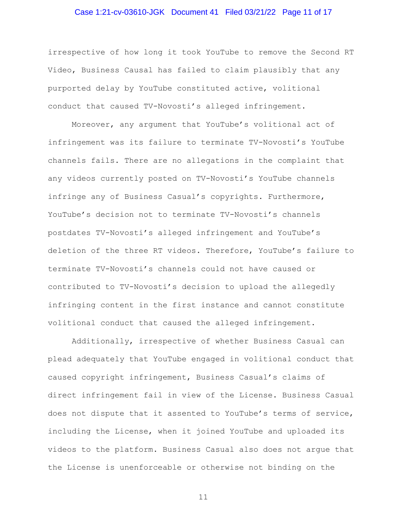# Case 1:21-cv-03610-JGK Document 41 Filed 03/21/22 Page 11 of 17

irrespective of how long it took YouTube to remove the Second RT Video, Business Causal has failed to claim plausibly that any purported delay by YouTube constituted active, volitional conduct that caused TV-Novosti's alleged infringement.

 Moreover, any argument that YouTube's volitional act of infringement was its failure to terminate TV-Novosti's YouTube channels fails. There are no allegations in the complaint that any videos currently posted on TV-Novosti's YouTube channels infringe any of Business Casual's copyrights. Furthermore, YouTube's decision not to terminate TV-Novosti's channels postdates TV-Novosti's alleged infringement and YouTube's deletion of the three RT videos. Therefore, YouTube's failure to terminate TV-Novosti's channels could not have caused or contributed to TV-Novosti's decision to upload the allegedly infringing content in the first instance and cannot constitute volitional conduct that caused the alleged infringement.

 Additionally, irrespective of whether Business Casual can plead adequately that YouTube engaged in volitional conduct that caused copyright infringement, Business Casual's claims of direct infringement fail in view of the License. Business Casual does not dispute that it assented to YouTube's terms of service, including the License, when it joined YouTube and uploaded its videos to the platform. Business Casual also does not argue that the License is unenforceable or otherwise not binding on the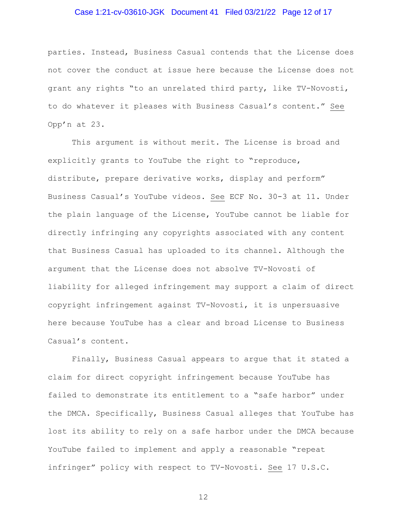# Case 1:21-cv-03610-JGK Document 41 Filed 03/21/22 Page 12 of 17

parties. Instead, Business Casual contends that the License does not cover the conduct at issue here because the License does not grant any rights "to an unrelated third party, like TV-Novosti, to do whatever it pleases with Business Casual's content." See Opp'n at 23.

 This argument is without merit. The License is broad and explicitly grants to YouTube the right to "reproduce, distribute, prepare derivative works, display and perform" Business Casual's YouTube videos. See ECF No. 30-3 at 11. Under the plain language of the License, YouTube cannot be liable for directly infringing any copyrights associated with any content that Business Casual has uploaded to its channel. Although the argument that the License does not absolve TV-Novosti of liability for alleged infringement may support a claim of direct copyright infringement against TV-Novosti, it is unpersuasive here because YouTube has a clear and broad License to Business Casual's content.

 Finally, Business Casual appears to argue that it stated a claim for direct copyright infringement because YouTube has failed to demonstrate its entitlement to a "safe harbor" under the DMCA. Specifically, Business Casual alleges that YouTube has lost its ability to rely on a safe harbor under the DMCA because YouTube failed to implement and apply a reasonable "repeat infringer" policy with respect to TV-Novosti. See 17 U.S.C.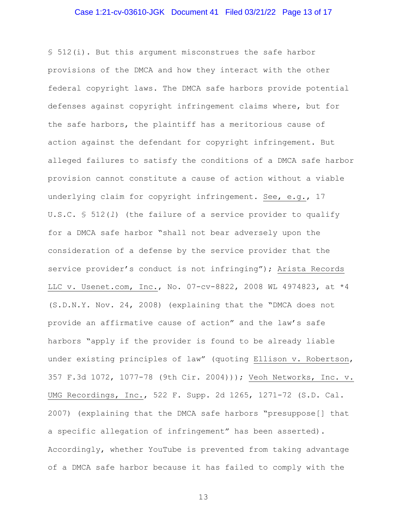#### Case 1:21-cv-03610-JGK Document 41 Filed 03/21/22 Page 13 of 17

§ 512(i). But this argument misconstrues the safe harbor provisions of the DMCA and how they interact with the other federal copyright laws. The DMCA safe harbors provide potential defenses against copyright infringement claims where, but for the safe harbors, the plaintiff has a meritorious cause of action against the defendant for copyright infringement. But alleged failures to satisfy the conditions of a DMCA safe harbor provision cannot constitute a cause of action without a viable underlying claim for copyright infringement. See, e.g., 17 U.S.C. § 512(*l*) (the failure of a service provider to qualify for a DMCA safe harbor "shall not bear adversely upon the consideration of a defense by the service provider that the service provider's conduct is not infringing"); Arista Records LLC v. Usenet.com, Inc., No. 07-cv-8822, 2008 WL 4974823, at \*4 (S.D.N.Y. Nov. 24, 2008) (explaining that the "DMCA does not provide an affirmative cause of action" and the law's safe harbors "apply if the provider is found to be already liable under existing principles of law" (quoting Ellison v. Robertson, 357 F.3d 1072, 1077-78 (9th Cir. 2004))); Veoh Networks, Inc. v. UMG Recordings, Inc., 522 F. Supp. 2d 1265, 1271-72 (S.D. Cal. 2007) (explaining that the DMCA safe harbors "presuppose[] that a specific allegation of infringement" has been asserted). Accordingly, whether YouTube is prevented from taking advantage of a DMCA safe harbor because it has failed to comply with the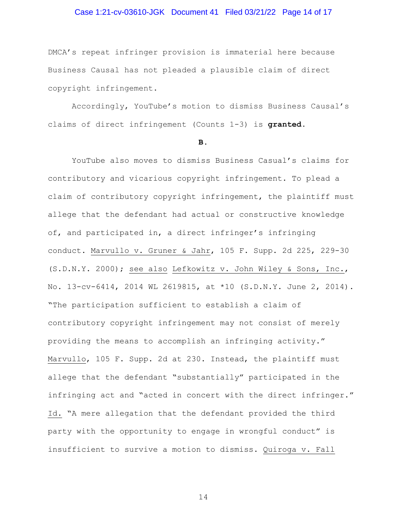#### Case 1:21-cv-03610-JGK Document 41 Filed 03/21/22 Page 14 of 17

DMCA's repeat infringer provision is immaterial here because Business Causal has not pleaded a plausible claim of direct copyright infringement.

 Accordingly, YouTube's motion to dismiss Business Causal's claims of direct infringement (Counts 1-3) is **granted**.

#### **B.**

YouTube also moves to dismiss Business Casual's claims for contributory and vicarious copyright infringement. To plead a claim of contributory copyright infringement, the plaintiff must allege that the defendant had actual or constructive knowledge of, and participated in, a direct infringer's infringing conduct. Marvullo v. Gruner & Jahr, 105 F. Supp. 2d 225, 229-30 (S.D.N.Y. 2000); see also Lefkowitz v. John Wiley & Sons, Inc., No. 13-cv-6414, 2014 WL 2619815, at \*10 (S.D.N.Y. June 2, 2014). "The participation sufficient to establish a claim of contributory copyright infringement may not consist of merely providing the means to accomplish an infringing activity." Marvullo, 105 F. Supp. 2d at 230. Instead, the plaintiff must allege that the defendant "substantially" participated in the infringing act and "acted in concert with the direct infringer." Id. "A mere allegation that the defendant provided the third party with the opportunity to engage in wrongful conduct" is insufficient to survive a motion to dismiss. Quiroga v. Fall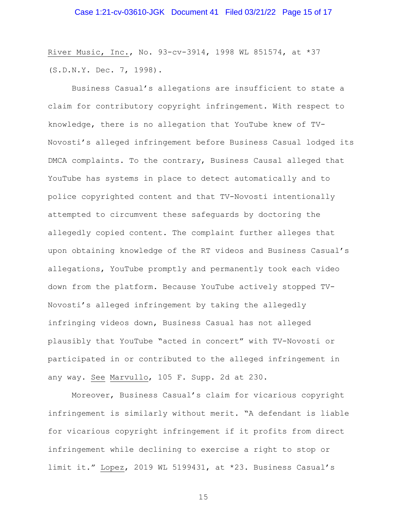River Music, Inc., No. 93-cv-3914, 1998 WL 851574, at \*37 (S.D.N.Y. Dec. 7, 1998).

 Business Casual's allegations are insufficient to state a claim for contributory copyright infringement. With respect to knowledge, there is no allegation that YouTube knew of TV-Novosti's alleged infringement before Business Casual lodged its DMCA complaints. To the contrary, Business Causal alleged that YouTube has systems in place to detect automatically and to police copyrighted content and that TV-Novosti intentionally attempted to circumvent these safeguards by doctoring the allegedly copied content. The complaint further alleges that upon obtaining knowledge of the RT videos and Business Casual's allegations, YouTube promptly and permanently took each video down from the platform. Because YouTube actively stopped TV-Novosti's alleged infringement by taking the allegedly infringing videos down, Business Casual has not alleged plausibly that YouTube "acted in concert" with TV-Novosti or participated in or contributed to the alleged infringement in any way. See Marvullo, 105 F. Supp. 2d at 230.

 Moreover, Business Casual's claim for vicarious copyright infringement is similarly without merit. "A defendant is liable for vicarious copyright infringement if it profits from direct infringement while declining to exercise a right to stop or limit it." Lopez, 2019 WL 5199431, at \*23. Business Casual's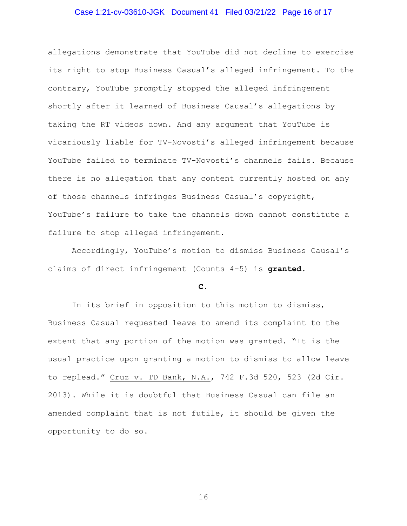# Case 1:21-cv-03610-JGK Document 41 Filed 03/21/22 Page 16 of 17

allegations demonstrate that YouTube did not decline to exercise its right to stop Business Casual's alleged infringement. To the contrary, YouTube promptly stopped the alleged infringement shortly after it learned of Business Causal's allegations by taking the RT videos down. And any argument that YouTube is vicariously liable for TV-Novosti's alleged infringement because YouTube failed to terminate TV-Novosti's channels fails. Because there is no allegation that any content currently hosted on any of those channels infringes Business Casual's copyright, YouTube's failure to take the channels down cannot constitute a failure to stop alleged infringement.

 Accordingly, YouTube's motion to dismiss Business Causal's claims of direct infringement (Counts 4-5) is **granted**.

#### **C.**

 In its brief in opposition to this motion to dismiss, Business Casual requested leave to amend its complaint to the extent that any portion of the motion was granted. "It is the usual practice upon granting a motion to dismiss to allow leave to replead." Cruz v. TD Bank, N.A., 742 F.3d 520, 523 (2d Cir. 2013). While it is doubtful that Business Casual can file an amended complaint that is not futile, it should be given the opportunity to do so.